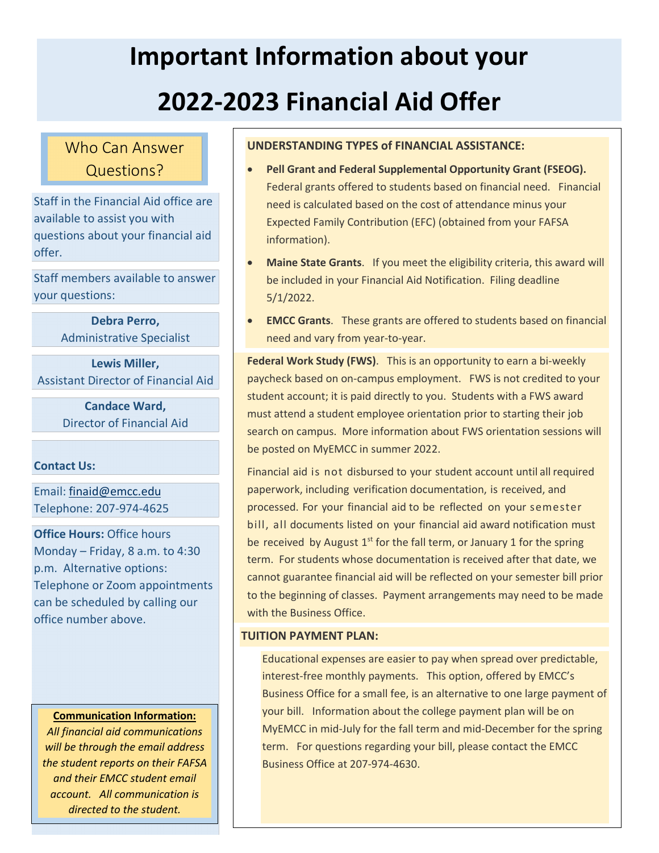# **Important Information about your 2022-2023 Financial Aid Offer**

# Who Can Answer Questions?

Staff in the Financial Aid office are available to assist you with questions about your financial aid offer.

Staff members available to answer your questions:

> **Debra Perro,**  Administrative Specialist

**Lewis Miller,** Assistant Director of Financial Aid

> **Candace Ward,**  Director of Financial Aid

# **Contact Us:**

Email: finaid@emcc.edu Telephone: 207-974-4625

**Office Hours:** Office hours Monday – Friday, 8 a.m. to 4:30 p.m. Alternative options: Telephone or Zoom appointments can be scheduled by calling our office number above.

#### **Communication Information:**

*All financial aid communications will be through the email address the student reports on their FAFSA and their EMCC student email account. All communication is directed to the student.*

# **UNDERSTANDING TYPES of FINANCIAL ASSISTANCE:**

- **Pell Grant and Federal Supplemental Opportunity Grant (FSEOG).** Federal grants offered to students based on financial need. Financial need is calculated based on the cost of attendance minus your Expected Family Contribution (EFC) (obtained from your FAFSA information).
- **Maine State Grants**. If you meet the eligibility criteria, this award will be included in your Financial Aid Notification. Filing deadline 5/1/2022.
- **EMCC Grants**. These grants are offered to students based on financial need and vary from year-to-year.

• **Federal Work Study (FWS)**. This is an opportunity to earn a bi-weekly paycheck based on on-campus employment. FWS is not credited to your student account; it is paid directly to you. Students with a FWS award must attend a student employee orientation prior to starting their job search on campus. More information about FWS orientation sessions will be posted on MyEMCC in summer 2022.

• Financial aid is not disbursed to your student account until all required paperwork, including verification documentation, is received, and processed. For your financial aid to be reflected on your semester bill, all documents listed on your financial aid award notification must be received by August  $1<sup>st</sup>$  for the fall term, or January 1 for the spring term. For students whose documentation is received after that date, we cannot guarantee financial aid will be reflected on your semester bill prior to the beginning of classes. Payment arrangements may need to be made with the Business Office.

# **TUITION PAYMENT PLAN:**

Educational expenses are easier to pay when spread over predictable, interest-free monthly payments. This option, offered by EMCC's Business Office for a small fee, is an alternative to one large payment of your bill. Information about the college payment plan will be on MyEMCC in mid-July for the fall term and mid-December for the spring term. For questions regarding your bill, please contact the EMCC Business Office at 207-974-4630.